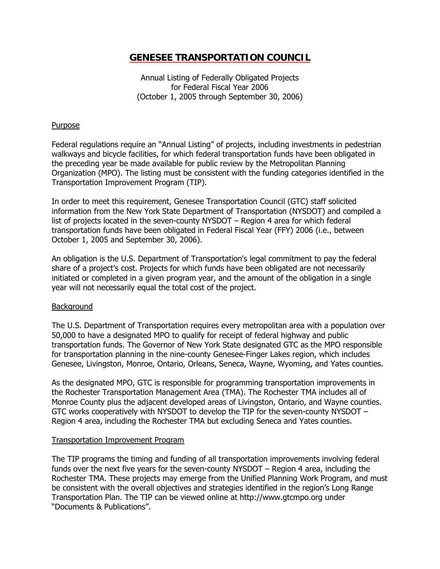# **GENESEE TRANSPORTATION COUNCIL**

Annual Listing of Federally Obligated Projects for Federal Fiscal Year 2006 (October 1, 2005 through September 30, 2006)

## Purpose

Federal regulations require an "Annual Listing" of projects, including investments in pedestrian walkways and bicycle facilities, for which federal transportation funds have been obligated in the preceding year be made available for public review by the Metropolitan Planning Organization (MPO). The listing must be consistent with the funding categories identified in the Transportation Improvement Program (TIP).

In order to meet this requirement, Genesee Transportation Council (GTC) staff solicited information from the New York State Department of Transportation (NYSDOT) and compiled a list of projects located in the seven-county NYSDOT – Region 4 area for which federal transportation funds have been obligated in Federal Fiscal Year (FFY) 2006 (i.e., between October 1, 2005 and September 30, 2006).

An obligation is the U.S. Department of Transportation's legal commitment to pay the federal share of a project's cost. Projects for which funds have been obligated are not necessarily initiated or completed in a given program year, and the amount of the obligation in a single year will not necessarily equal the total cost of the project.

#### **Background**

The U.S. Department of Transportation requires every metropolitan area with a population over 50,000 to have a designated MPO to qualify for receipt of federal highway and public transportation funds. The Governor of New York State designated GTC as the MPO responsible for transportation planning in the nine-county Genesee-Finger Lakes region, which includes Genesee, Livingston, Monroe, Ontario, Orleans, Seneca, Wayne, Wyoming, and Yates counties.

As the designated MPO, GTC is responsible for programming transportation improvements in the Rochester Transportation Management Area (TMA). The Rochester TMA includes all of Monroe County plus the adjacent developed areas of Livingston, Ontario, and Wayne counties. GTC works cooperatively with NYSDOT to develop the TIP for the seven-county NYSDOT – Region 4 area, including the Rochester TMA but excluding Seneca and Yates counties.

#### Transportation Improvement Program

The TIP programs the timing and funding of all transportation improvements involving federal funds over the next five years for the seven-county NYSDOT – Region 4 area, including the Rochester TMA. These projects may emerge from the Unified Planning Work Program, and must be consistent with the overall objectives and strategies identified in the region's Long Range Transportation Plan. The TIP can be viewed online at http://www.gtcmpo.org under "Documents & Publications".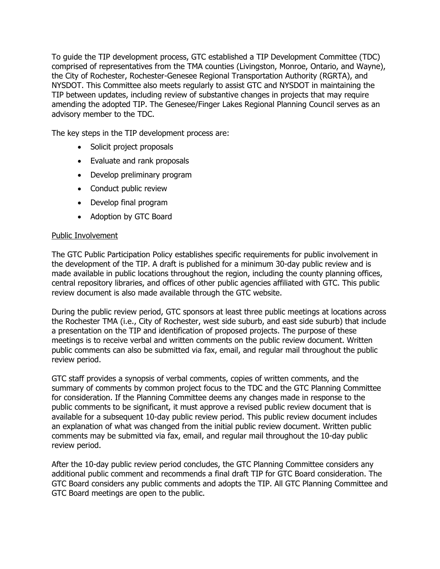To guide the TIP development process, GTC established a TIP Development Committee (TDC) comprised of representatives from the TMA counties (Livingston, Monroe, Ontario, and Wayne), the City of Rochester, Rochester-Genesee Regional Transportation Authority (RGRTA), and NYSDOT. This Committee also meets regularly to assist GTC and NYSDOT in maintaining the TIP between updates, including review of substantive changes in projects that may require amending the adopted TIP. The Genesee/Finger Lakes Regional Planning Council serves as an advisory member to the TDC.

The key steps in the TIP development process are:

- Solicit project proposals
- Evaluate and rank proposals
- Develop preliminary program
- Conduct public review
- Develop final program
- Adoption by GTC Board

## Public Involvement

The GTC Public Participation Policy establishes specific requirements for public involvement in the development of the TIP. A draft is published for a minimum 30-day public review and is made available in public locations throughout the region, including the county planning offices, central repository libraries, and offices of other public agencies affiliated with GTC. This public review document is also made available through the GTC website.

During the public review period, GTC sponsors at least three public meetings at locations across the Rochester TMA (i.e., City of Rochester, west side suburb, and east side suburb) that include a presentation on the TIP and identification of proposed projects. The purpose of these meetings is to receive verbal and written comments on the public review document. Written public comments can also be submitted via fax, email, and regular mail throughout the public review period.

GTC staff provides a synopsis of verbal comments, copies of written comments, and the summary of comments by common project focus to the TDC and the GTC Planning Committee for consideration. If the Planning Committee deems any changes made in response to the public comments to be significant, it must approve a revised public review document that is available for a subsequent 10-day public review period. This public review document includes an explanation of what was changed from the initial public review document. Written public comments may be submitted via fax, email, and regular mail throughout the 10-day public review period.

After the 10-day public review period concludes, the GTC Planning Committee considers any additional public comment and recommends a final draft TIP for GTC Board consideration. The GTC Board considers any public comments and adopts the TIP. All GTC Planning Committee and GTC Board meetings are open to the public.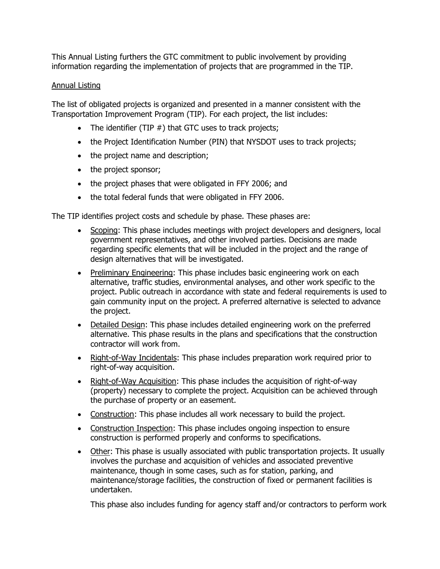This Annual Listing furthers the GTC commitment to public involvement by providing information regarding the implementation of projects that are programmed in the TIP.

# Annual Listing

The list of obligated projects is organized and presented in a manner consistent with the Transportation Improvement Program (TIP). For each project, the list includes:

- The identifier (TIP  $#$ ) that GTC uses to track projects;
- the Project Identification Number (PIN) that NYSDOT uses to track projects;
- the project name and description;
- the project sponsor;
- the project phases that were obligated in FFY 2006; and
- the total federal funds that were obligated in FFY 2006.

The TIP identifies project costs and schedule by phase. These phases are:

- Scoping: This phase includes meetings with project developers and designers, local government representatives, and other involved parties. Decisions are made regarding specific elements that will be included in the project and the range of design alternatives that will be investigated.
- Preliminary Engineering: This phase includes basic engineering work on each alternative, traffic studies, environmental analyses, and other work specific to the project. Public outreach in accordance with state and federal requirements is used to gain community input on the project. A preferred alternative is selected to advance the project.
- Detailed Design: This phase includes detailed engineering work on the preferred alternative. This phase results in the plans and specifications that the construction contractor will work from.
- Right-of-Way Incidentals: This phase includes preparation work required prior to right-of-way acquisition.
- Right-of-Way Acquisition: This phase includes the acquisition of right-of-way (property) necessary to complete the project. Acquisition can be achieved through the purchase of property or an easement.
- Construction: This phase includes all work necessary to build the project.
- Construction Inspection: This phase includes ongoing inspection to ensure construction is performed properly and conforms to specifications.
- Other: This phase is usually associated with public transportation projects. It usually involves the purchase and acquisition of vehicles and associated preventive maintenance, though in some cases, such as for station, parking, and maintenance/storage facilities, the construction of fixed or permanent facilities is undertaken.

This phase also includes funding for agency staff and/or contractors to perform work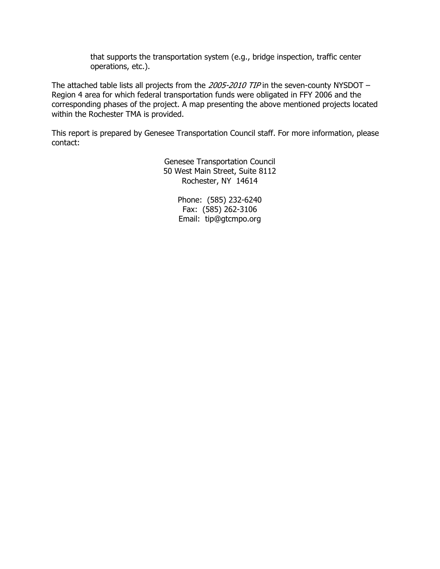that supports the transportation system (e.g., bridge inspection, traffic center operations, etc.).

The attached table lists all projects from the 2005-2010 TIP in the seven-county NYSDOT – Region 4 area for which federal transportation funds were obligated in FFY 2006 and the corresponding phases of the project. A map presenting the above mentioned projects located within the Rochester TMA is provided.

This report is prepared by Genesee Transportation Council staff. For more information, please contact:

> Genesee Transportation Council 50 West Main Street, Suite 8112 Rochester, NY 14614

> > Phone: (585) 232-6240 Fax: (585) 262-3106 Email: tip@gtcmpo.org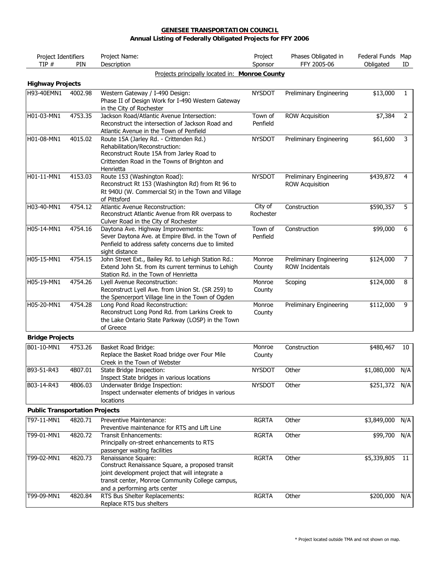#### **GENESEE TRANSPORTATION COUNCIL Annual Listing of Federally Obligated Projects for FFY 2006**

| Project Identifiers                   |         | Project Name:                                                                                                                                                                                                  | Project              | Phases Obligated in                               | Federal Funds Map |     |
|---------------------------------------|---------|----------------------------------------------------------------------------------------------------------------------------------------------------------------------------------------------------------------|----------------------|---------------------------------------------------|-------------------|-----|
| TIP#                                  | PIN     | Description                                                                                                                                                                                                    | Sponsor              | FFY 2005-06                                       | Obligated         | ID  |
|                                       |         | Projects principally located in: Monroe County                                                                                                                                                                 |                      |                                                   |                   |     |
| <b>Highway Projects</b>               |         |                                                                                                                                                                                                                |                      |                                                   |                   |     |
| H93-40EMN1                            | 4002.98 | Western Gateway / I-490 Design:<br>Phase II of Design Work for I-490 Western Gateway<br>in the City of Rochester                                                                                               | <b>NYSDOT</b>        | <b>Preliminary Engineering</b>                    | \$13,000          | 1   |
| H01-03-MN1                            | 4753.35 | Jackson Road/Atlantic Avenue Intersection:<br>Reconstruct the intersection of Jackson Road and<br>Atlantic Avenue in the Town of Penfield                                                                      | Town of<br>Penfield  | <b>ROW Acquisition</b>                            | \$7,384           | 2   |
| H01-08-MN1                            | 4015.02 | Route 15A (Jarley Rd. - Crittenden Rd.)<br>Rehabilitation/Reconstruction:<br>Reconstruct Route 15A from Jarley Road to<br>Crittenden Road in the Towns of Brighton and<br>Henrietta                            | <b>NYSDOT</b>        | Preliminary Engineering                           | \$61,600          | 3   |
| H01-11-MN1                            | 4153.03 | Route 153 (Washington Road):<br>Reconstruct Rt 153 (Washington Rd) from Rt 96 to<br>Rt 940U (W. Commercial St) in the Town and Village<br>of Pittsford                                                         | <b>NYSDOT</b>        | Preliminary Engineering<br><b>ROW Acquisition</b> | \$439,872         | 4   |
| H03-40-MN1                            | 4754.12 | Atlantic Avenue Reconstruction:<br>Reconstruct Atlantic Avenue from RR overpass to<br>Culver Road in the City of Rochester                                                                                     | City of<br>Rochester | Construction                                      | \$590,357         | 5   |
| H05-14-MN1                            | 4754.16 | Daytona Ave. Highway Improvements:<br>Sever Daytona Ave. at Empire Blvd. in the Town of<br>Penfield to address safety concerns due to limited<br>sight distance                                                | Town of<br>Penfield  | Construction                                      | \$99,000          | 6   |
| H05-15-MN1                            | 4754.15 | John Street Ext., Bailey Rd. to Lehigh Station Rd.:<br>Extend John St. from its current terminus to Lehigh<br>Station Rd. in the Town of Henrietta                                                             | Monroe<br>County     | Preliminary Engineering<br><b>ROW Incidentals</b> | \$124,000         | 7   |
| H05-19-MN1                            | 4754.26 | Lyell Avenue Reconstruction:<br>Reconstruct Lyell Ave. from Union St. (SR 259) to<br>the Spencerport Village line in the Town of Ogden                                                                         | Monroe<br>County     | Scoping                                           | \$124,000         | 8   |
| H05-20-MN1                            | 4754.28 | Long Pond Road Reconstruction:<br>Reconstruct Long Pond Rd. from Larkins Creek to<br>the Lake Ontario State Parkway (LOSP) in the Town<br>of Greece                                                            | Monroe<br>County     | Preliminary Engineering                           | \$112,000         | 9   |
| <b>Bridge Projects</b>                |         |                                                                                                                                                                                                                |                      |                                                   |                   |     |
| B01-10-MN1                            | 4753.26 | <b>Basket Road Bridge:</b><br>Replace the Basket Road bridge over Four Mile<br>Creek in the Town of Webster                                                                                                    | Monroe<br>County     | Construction                                      | \$480,467         | 10  |
| B93-51-R43                            | 4B07.01 | State Bridge Inspection:<br>Inspect State bridges in various locations                                                                                                                                         | <b>NYSDOT</b>        | Other                                             | \$1,080,000       | N/A |
| B03-14-R43                            | 4B06.03 | Underwater Bridge Inspection:<br>Inspect underwater elements of bridges in various<br>locations                                                                                                                | <b>NYSDOT</b>        | Other                                             | \$251,372         | N/A |
| <b>Public Transportation Projects</b> |         |                                                                                                                                                                                                                |                      |                                                   |                   |     |
| T97-11-MN1                            | 4820.71 | Preventive Maintenance:                                                                                                                                                                                        | <b>RGRTA</b>         | Other                                             | \$3,849,000       | N/A |
| T99-01-MN1                            | 4820.72 | Preventive maintenance for RTS and Lift Line<br><b>Transit Enhancements:</b>                                                                                                                                   | <b>RGRTA</b>         | Other                                             | \$99,700          | N/A |
|                                       |         | Principally on-street enhancements to RTS<br>passenger waiting facilities                                                                                                                                      |                      |                                                   |                   |     |
| T99-02-MN1                            | 4820.73 | Renaissance Square:<br>Construct Renaissance Square, a proposed transit<br>joint development project that will integrate a<br>transit center, Monroe Community College campus,<br>and a performing arts center | <b>RGRTA</b>         | Other                                             | \$5,339,805       | 11  |
| T99-09-MN1                            | 4820.84 | RTS Bus Shelter Replacements:<br>Replace RTS bus shelters                                                                                                                                                      | <b>RGRTA</b>         | Other                                             | \$200,000         | N/A |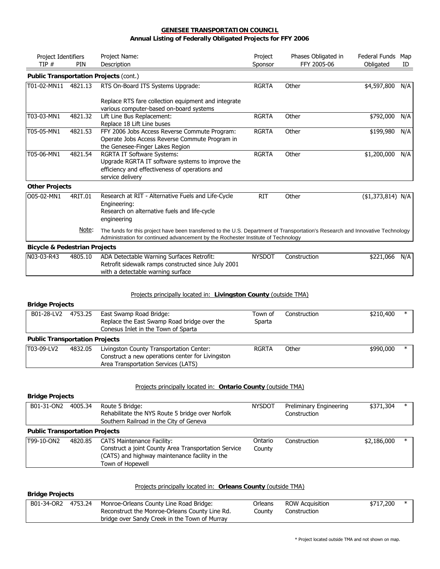#### **GENESEE TRANSPORTATION COUNCIL Annual Listing of Federally Obligated Projects for FFY 2006**

| Project Identifiers<br>TIP#<br>PIN       |         | Project Name:<br>Description                                                                                                                                                                                        | Project<br>Sponsor | Phases Obligated in<br>FFY 2005-06 | Federal Funds<br>Obligated | Map<br>ID |
|------------------------------------------|---------|---------------------------------------------------------------------------------------------------------------------------------------------------------------------------------------------------------------------|--------------------|------------------------------------|----------------------------|-----------|
|                                          |         | Public Transportation Projects (cont.)                                                                                                                                                                              |                    |                                    |                            |           |
| T01-02-MN11 4821.13                      |         | RTS On-Board ITS Systems Upgrade:                                                                                                                                                                                   | <b>RGRTA</b>       | Other                              | \$4,597,800                | N/A       |
|                                          |         | Replace RTS fare collection equipment and integrate<br>various computer-based on-board systems                                                                                                                      |                    |                                    |                            |           |
| T03-03-MN1                               | 4821.32 | Lift Line Bus Replacement:<br>Replace 18 Lift Line buses                                                                                                                                                            | <b>RGRTA</b>       | Other                              | \$792,000                  | N/A       |
| T05-05-MN1                               | 4821.53 | FFY 2006 Jobs Access Reverse Commute Program:<br>Operate Jobs Access Reverse Commute Program in<br>the Genesee-Finger Lakes Region                                                                                  | <b>RGRTA</b>       | Other                              | \$199,980                  | N/A       |
| T05-06-MN1                               | 4821.54 | <b>RGRTA IT Software Systems:</b><br>Upgrade RGRTA IT software systems to improve the<br>efficiency and effectiveness of operations and<br>service delivery                                                         | <b>RGRTA</b>       | Other                              | \$1,200,000                | N/A       |
| <b>Other Projects</b>                    |         |                                                                                                                                                                                                                     |                    |                                    |                            |           |
| O05-02-MN1                               | 4RIT.01 | Research at RIT - Alternative Fuels and Life-Cycle<br>Engineering:<br>Research on alternative fuels and life-cycle<br>engineering                                                                                   | <b>RIT</b>         | Other                              | $( $1,373,814)$ N/A        |           |
|                                          | Note:   | The funds for this project have been transferred to the U.S. Department of Transportation's Research and Innovative Technology<br>Administration for continued advancement by the Rochester Institute of Technology |                    |                                    |                            |           |
| <b>Bicycle &amp; Pedestrian Projects</b> |         |                                                                                                                                                                                                                     |                    |                                    |                            |           |
| N03-03-R43                               | 4805.10 | ADA Detectable Warning Surfaces Retrofit:<br>Retrofit sidewalk ramps constructed since July 2001<br>with a detectable warning surface                                                                               | <b>NYSDOT</b>      | Construction                       | \$221,066                  | N/A       |

#### Projects principally located in: **Livingston County** (outside TMA)

# **Bridge Projects**

| - - - - - - - - - - - -               |         |                                                                                                                                     |                   |              |           |        |
|---------------------------------------|---------|-------------------------------------------------------------------------------------------------------------------------------------|-------------------|--------------|-----------|--------|
| B01-28-LV2                            | 4753.25 | East Swamp Road Bridge:<br>Replace the East Swamp Road bridge over the<br>Conesus Inlet in the Town of Sparta                       | Town of<br>Sparta | Construction | \$210,400 | $\ast$ |
| <b>Public Transportation Projects</b> |         |                                                                                                                                     |                   |              |           |        |
| T03-09-LV2                            | 4832.05 | Livingston County Transportation Center:<br>Construct a new operations center for Livingston<br>Area Transportation Services (LATS) | <b>RGRTA</b>      | Other        | \$990,000 | $\ast$ |

#### Projects principally located in: **Ontario County** (outside TMA)

#### **Bridge Projects**

| B01-31-ON2 | 4005.34                               | Route 5 Bridge:<br>Rehabilitate the NYS Route 5 bridge over Norfolk<br>Southern Railroad in the City of Geneva                                                  | <b>NYSDOT</b>     | Preliminary Engineering<br>Construction | \$371,304   | $\ast$ |  |
|------------|---------------------------------------|-----------------------------------------------------------------------------------------------------------------------------------------------------------------|-------------------|-----------------------------------------|-------------|--------|--|
|            | <b>Public Transportation Projects</b> |                                                                                                                                                                 |                   |                                         |             |        |  |
| T99-10-ON2 | 4820.85                               | <b>CATS Maintenance Facility:</b><br>Construct a joint County Area Transportation Service<br>(CATS) and highway maintenance facility in the<br>Town of Hopewell | Ontario<br>County | Construction                            | \$2,186,000 | $\ast$ |  |

## Projects principally located in: **Orleans County** (outside TMA)

| <b>Bridge Projects</b> |         |                                                                                                                                            |                   |                                        |           |  |  |  |
|------------------------|---------|--------------------------------------------------------------------------------------------------------------------------------------------|-------------------|----------------------------------------|-----------|--|--|--|
| B01-34-OR2             | 4753.24 | Monroe-Orleans County Line Road Bridge:<br>Reconstruct the Monroe-Orleans County Line Rd.<br>bridge over Sandy Creek in the Town of Murray | Orleans<br>Countv | <b>ROW Acquisition</b><br>Construction | \$717,200 |  |  |  |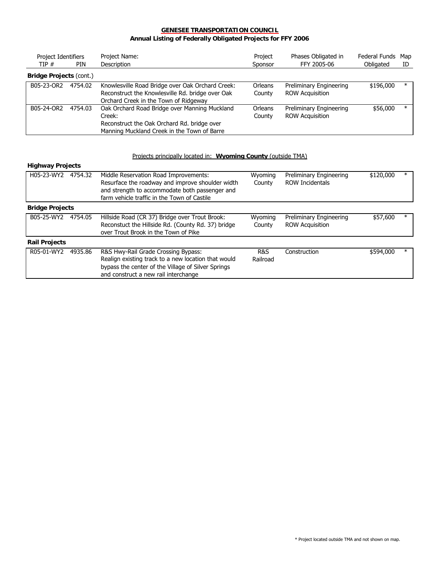#### **GENESEE TRANSPORTATION COUNCIL Annual Listing of Federally Obligated Projects for FFY 2006**

| Project Identifiers<br>TIP#    | <b>PIN</b> | Project Name:<br>Description                                                                                                                          | Project<br>Sponsor       | Phases Obligated in<br>FFY 2005-06                | Federal Funds Map<br>Obligated | ID     |
|--------------------------------|------------|-------------------------------------------------------------------------------------------------------------------------------------------------------|--------------------------|---------------------------------------------------|--------------------------------|--------|
| <b>Bridge Projects (cont.)</b> |            |                                                                                                                                                       |                          |                                                   |                                |        |
| B05-23-OR2                     | 4754.02    | Knowlesville Road Bridge over Oak Orchard Creek:<br>Reconstruct the Knowlesville Rd. bridge over Oak<br>Orchard Creek in the Town of Ridgeway         | <b>Orleans</b><br>County | Preliminary Engineering<br><b>ROW Acquisition</b> | \$196,000                      | $\ast$ |
| B05-24-OR2                     | 4754.03    | Oak Orchard Road Bridge over Manning Muckland<br>Creek:<br>Reconstruct the Oak Orchard Rd. bridge over<br>Manning Muckland Creek in the Town of Barre | <b>Orleans</b><br>County | Preliminary Engineering<br><b>ROW Acquisition</b> | \$56,000                       | $\ast$ |

#### Projects principally located in: **Wyoming County** (outside TMA)

#### **Highway Projects**

| H05-23-WY2             | 4754.32 | Middle Reservation Road Improvements:<br>Resurface the roadway and improve shoulder width<br>and strength to accommodate both passenger and<br>farm vehicle traffic in the Town of Castile | Wyoming<br>County | Preliminary Engineering<br><b>ROW Incidentals</b> | \$120,000 | $\ast$ |
|------------------------|---------|--------------------------------------------------------------------------------------------------------------------------------------------------------------------------------------------|-------------------|---------------------------------------------------|-----------|--------|
| <b>Bridge Projects</b> |         |                                                                                                                                                                                            |                   |                                                   |           |        |
| B05-25-WY2             | 4754.05 | Hillside Road (CR 37) Bridge over Trout Brook:<br>Reconstuct the Hillside Rd. (County Rd. 37) bridge<br>over Trout Brook in the Town of Pike                                               | Wyoming<br>County | Preliminary Engineering<br><b>ROW Acquisition</b> | \$57,600  | $\ast$ |
| <b>Rail Projects</b>   |         |                                                                                                                                                                                            |                   |                                                   |           |        |
| R05-01-WY2             | 4935.86 | R&S Hwy-Rail Grade Crossing Bypass:<br>Realign existing track to a new location that would<br>bypass the center of the Village of Silver Springs<br>and construct a new rail interchange   | R&S<br>Railroad   | Construction                                      | \$594,000 | $\ast$ |